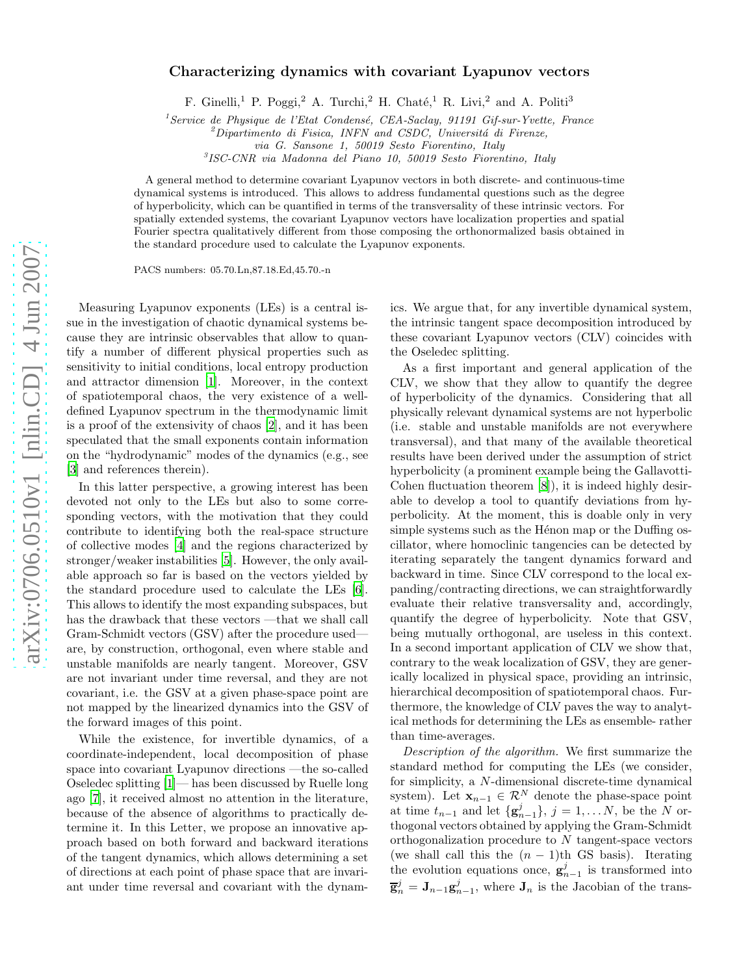## Characterizing dynamics with covariant Lyapunov vectors

F. Ginelli,<sup>1</sup> P. Poggi,<sup>2</sup> A. Turchi,<sup>2</sup> H. Chaté,<sup>1</sup> R. Livi,<sup>2</sup> and A. Politi<sup>3</sup>

 ${}^{1}$ Service de Physique de l'Etat Condensé, CEA-Saclay, 91191 Gif-sur-Yvette, France

 $^{2}$ Dipartimento di Fisica, INFN and CSDC, Universitá di Firenze,

via G. Sansone 1, 50019 Sesto Fiorentino, Italy

3 ISC-CNR via Madonna del Piano 10, 50019 Sesto Fiorentino, Italy

A general method to determine covariant Lyapunov vectors in both discrete- and continuous-time dynamical systems is introduced. This allows to address fundamental questions such as the degree of hyperbolicity, which can be quantified in terms of the transversality of these intrinsic vectors. For spatially extended systems, the covariant Lyapunov vectors have localization properties and spatial Fourier spectra qualitatively different from those composing the orthonormalized basis obtained in the standard procedure used to calculate the Lyapunov exponents.

PACS numbers: 05.70.Ln,87.18.Ed,45.70.-n

Measuring Lyapunov exponents (LEs) is a central issue in the investigation of chaotic dynamical systems because they are intrinsic observables that allow to quantify a number of different physical properties such as sensitivity to initial conditions, local entropy production and attractor dimension [\[1\]](#page-3-0). Moreover, in the context of spatiotemporal chaos, the very existence of a welldefined Lyapunov spectrum in the thermodynamic limit is a proof of the extensivity of chaos [\[2](#page-3-1)], and it has been speculated that the small exponents contain information on the "hydrodynamic" modes of the dynamics (e.g., see [\[3\]](#page-3-2) and references therein).

In this latter perspective, a growing interest has been devoted not only to the LEs but also to some corresponding vectors, with the motivation that they could contribute to identifying both the real-space structure of collective modes [\[4\]](#page-3-3) and the regions characterized by stronger/weaker instabilities [\[5\]](#page-3-4). However, the only available approach so far is based on the vectors yielded by the standard procedure used to calculate the LEs [\[6\]](#page-3-5). This allows to identify the most expanding subspaces, but has the drawback that these vectors —that we shall call Gram-Schmidt vectors (GSV) after the procedure used are, by construction, orthogonal, even where stable and unstable manifolds are nearly tangent. Moreover, GSV are not invariant under time reversal, and they are not covariant, i.e. the GSV at a given phase-space point are not mapped by the linearized dynamics into the GSV of the forward images of this point.

While the existence, for invertible dynamics, of a coordinate-independent, local decomposition of phase space into covariant Lyapunov directions —the so-called Oseledec splitting [\[1\]](#page-3-0)— has been discussed by Ruelle long ago [\[7](#page-3-6)], it received almost no attention in the literature, because of the absence of algorithms to practically determine it. In this Letter, we propose an innovative approach based on both forward and backward iterations of the tangent dynamics, which allows determining a set of directions at each point of phase space that are invariant under time reversal and covariant with the dynam-

ics. We argue that, for any invertible dynamical system, the intrinsic tangent space decomposition introduced by these covariant Lyapunov vectors (CLV) coincides with the Oseledec splitting.

As a first important and general application of the CLV, we show that they allow to quantify the degree of hyperbolicity of the dynamics. Considering that all physically relevant dynamical systems are not hyperbolic (i.e. stable and unstable manifolds are not everywhere transversal), and that many of the available theoretical results have been derived under the assumption of strict hyperbolicity (a prominent example being the Gallavotti-Cohen fluctuation theorem [\[8](#page-3-7)]), it is indeed highly desirable to develop a tool to quantify deviations from hyperbolicity. At the moment, this is doable only in very simple systems such as the Hénon map or the Duffing oscillator, where homoclinic tangencies can be detected by iterating separately the tangent dynamics forward and backward in time. Since CLV correspond to the local expanding/contracting directions, we can straightforwardly evaluate their relative transversality and, accordingly, quantify the degree of hyperbolicity. Note that GSV, being mutually orthogonal, are useless in this context. In a second important application of CLV we show that, contrary to the weak localization of GSV, they are generically localized in physical space, providing an intrinsic, hierarchical decomposition of spatiotemporal chaos. Furthermore, the knowledge of CLV paves the way to analytical methods for determining the LEs as ensemble- rather than time-averages.

Description of the algorithm. We first summarize the standard method for computing the LEs (we consider, for simplicity, a N-dimensional discrete-time dynamical system). Let  $\mathbf{x}_{n-1} \in \mathcal{R}^N$  denote the phase-space point at time  $t_{n-1}$  and let  $\{g_{n-1}^j\}$ ,  $j=1,\ldots N$ , be the N orthogonal vectors obtained by applying the Gram-Schmidt orthogonalization procedure to N tangent-space vectors (we shall call this the  $(n - 1)$ th GS basis). Iterating the evolution equations once,  $\mathbf{g}_{n-1}^j$  is transformed into  $\overline{\mathbf{g}}_n^j = \mathbf{J}_{n-1} \mathbf{g}_{n-1}^j$ , where  $\mathbf{J}_n$  is the Jacobian of the trans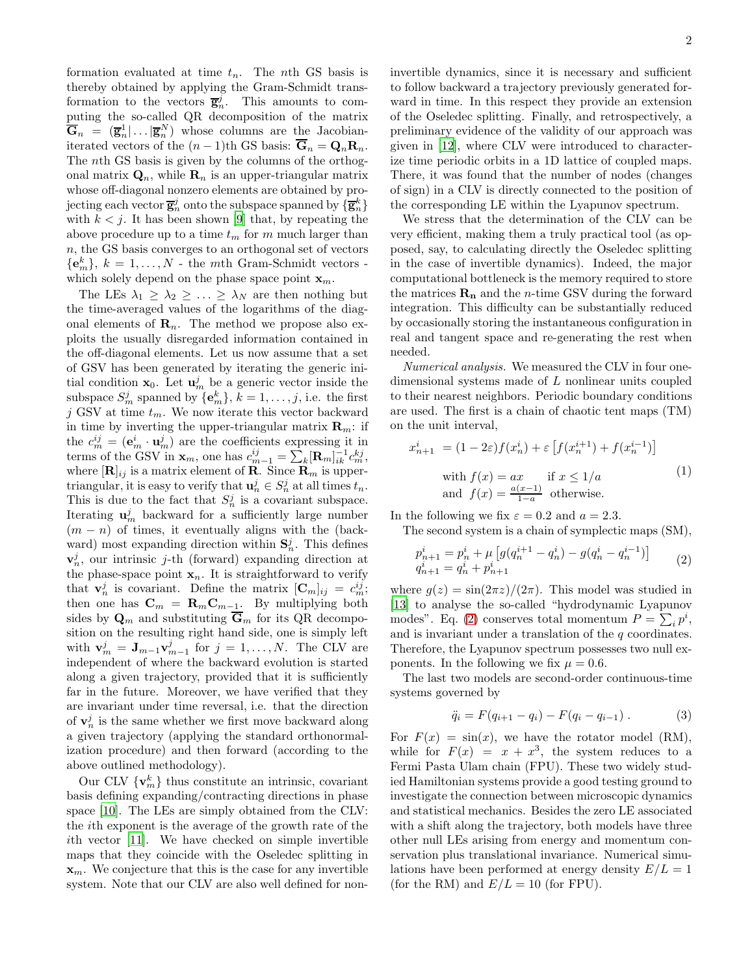formation evaluated at time  $t_n$ . The nth GS basis is thereby obtained by applying the Gram-Schmidt transformation to the vectors  $\overline{g}_n^j$ . This amounts to computing the so-called QR decomposition of the matrix  $\overline{\mathbf{G}}_n = (\overline{\mathbf{g}}_n^1 | \dots | \overline{\mathbf{g}}_n^N)$  whose columns are the Jacobianiterated vectors of the  $(n-1)$ th GS basis:  $\overline{\mathbf{G}}_n = \mathbf{Q}_n \mathbf{R}_n$ . The nth GS basis is given by the columns of the orthogonal matrix  $\mathbf{Q}_n$ , while  $\mathbf{R}_n$  is an upper-triangular matrix whose off-diagonal nonzero elements are obtained by projecting each vector  $\overline{\mathbf{g}}_n^j$  onto the subspace spanned by  $\{\overline{\mathbf{g}}_n^k\}$ with  $k < j$ . It has been shown [\[9](#page-3-8)] that, by repeating the above procedure up to a time  $t_m$  for m much larger than n, the GS basis converges to an orthogonal set of vectors  ${e<sub>m</sub><sup>k</sup>}, k = 1,..., N$  - the *m*th Gram-Schmidt vectors which solely depend on the phase space point  $\mathbf{x}_m$ .

The LEs  $\lambda_1 \geq \lambda_2 \geq \ldots \geq \lambda_N$  are then nothing but the time-averaged values of the logarithms of the diagonal elements of  $\mathbf{R}_n$ . The method we propose also exploits the usually disregarded information contained in the off-diagonal elements. Let us now assume that a set of GSV has been generated by iterating the generic initial condition  $x_0$ . Let  $u_m^j$  be a generic vector inside the subspace  $S_m^j$  spanned by  $\{\mathbf{e}_m^k\}$ ,  $k = 1, \ldots, j$ , i.e. the first j GSV at time  $t_m$ . We now iterate this vector backward in time by inverting the upper-triangular matrix  $\mathbf{R}_m$ : if the  $c_m^{ij} = (\mathbf{e}_m^i \cdot \mathbf{u}_m^j)$  are the coefficients expressing it in terms of the GSV in  $\mathbf{x}_m$ , one has  $c_{m-1}^{ij} = \sum_{k} [\mathbf{R}_m]_{ik}^{-1} c_m^{kj}$ , where  $[\mathbf{R}]_{ij}$  is a matrix element of **R**. Since  $\mathbf{R}_m$  is uppertriangular, it is easy to verify that  $\mathbf{u}_n^j \in S_n^j$  at all times  $t_n$ . This is due to the fact that  $S_n^j$  is a covariant subspace. Iterating  $\mathbf{u}_m^j$  backward for a sufficiently large number  $(m - n)$  of times, it eventually aligns with the (backward) most expanding direction within  $S_n^j$ . This defines  $\mathbf{v}_n^j$ , our intrinsic *j*-th (forward) expanding direction at the phase-space point  $x_n$ . It is straightforward to verify that  $\mathbf{v}_n^j$  is covariant. Define the matrix  $[\mathbf{C}_m]_{ij} = c_m^{ij}$ ; then one has  $\mathbf{C}_m = \mathbf{R}_m \mathbf{C}_{m-1}$ . By multiplying both sides by  $\mathbf{Q}_m$  and substituting  $\overline{\mathbf{G}}_m$  for its QR decomposition on the resulting right hand side, one is simply left with  $\mathbf{v}_m^j = \mathbf{J}_{m-1} \mathbf{v}_{m-1}^j$  for  $j = 1, ..., N$ . The CLV are independent of where the backward evolution is started along a given trajectory, provided that it is sufficiently far in the future. Moreover, we have verified that they are invariant under time reversal, i.e. that the direction of  $\mathbf{v}_n^j$  is the same whether we first move backward along a given trajectory (applying the standard orthonormalization procedure) and then forward (according to the above outlined methodology).

Our CLV  $\{v_m^k\}$  thus constitute an intrinsic, covariant basis defining expanding/contracting directions in phase space [\[10\]](#page-3-9). The LEs are simply obtained from the CLV: the ith exponent is the average of the growth rate of the ith vector [\[11\]](#page-3-10). We have checked on simple invertible maps that they coincide with the Oseledec splitting in  $\mathbf{x}_m$ . We conjecture that this is the case for any invertible system. Note that our CLV are also well defined for noninvertible dynamics, since it is necessary and sufficient to follow backward a trajectory previously generated forward in time. In this respect they provide an extension of the Oseledec splitting. Finally, and retrospectively, a preliminary evidence of the validity of our approach was given in [\[12\]](#page-3-11), where CLV were introduced to characterize time periodic orbits in a 1D lattice of coupled maps. There, it was found that the number of nodes (changes of sign) in a CLV is directly connected to the position of the corresponding LE within the Lyapunov spectrum.

We stress that the determination of the CLV can be very efficient, making them a truly practical tool (as opposed, say, to calculating directly the Oseledec splitting in the case of invertible dynamics). Indeed, the major computational bottleneck is the memory required to store the matrices  $\mathbf{R}_{n}$  and the *n*-time GSV during the forward integration. This difficulty can be substantially reduced by occasionally storing the instantaneous configuration in real and tangent space and re-generating the rest when needed.

Numerical analysis. We measured the CLV in four onedimensional systems made of L nonlinear units coupled to their nearest neighbors. Periodic boundary conditions are used. The first is a chain of chaotic tent maps (TM) on the unit interval,

<span id="page-1-1"></span>
$$
x_{n+1}^{i} = (1 - 2\varepsilon)f(x_n^i) + \varepsilon \left[ f(x_n^{i+1}) + f(x_n^{i-1}) \right]
$$
  
with  $f(x) = ax$  if  $x \le 1/a$   
and  $f(x) = \frac{a(x-1)}{1-a}$  otherwise. (1)

In the following we fix  $\varepsilon = 0.2$  and  $a = 2.3$ . The second system is a chain of symplectic maps (SM),

<span id="page-1-0"></span>
$$
p_{n+1}^i = p_n^i + \mu \left[ g(q_n^{i+1} - q_n^i) - g(q_n^i - q_n^{i-1}) \right]
$$
  
\n
$$
q_{n+1}^i = q_n^i + p_{n+1}^i
$$
\n(2)

where  $g(z) = \frac{\sin(2\pi z)}{2\pi}$ . This model was studied in [\[13\]](#page-3-12) to analyse the so-called "hydrodynamic Lyapunov modes". Eq. [\(2\)](#page-1-0) conserves total momentum  $P = \sum_i p^i$ , and is invariant under a translation of the  $q$  coordinates. Therefore, the Lyapunov spectrum possesses two null exponents. In the following we fix  $\mu = 0.6$ .

The last two models are second-order continuous-time systems governed by

$$
\ddot{q}_i = F(q_{i+1} - q_i) - F(q_i - q_{i-1}). \tag{3}
$$

For  $F(x) = \sin(x)$ , we have the rotator model (RM), while for  $F(x) = x + x^3$ , the system reduces to a Fermi Pasta Ulam chain (FPU). These two widely studied Hamiltonian systems provide a good testing ground to investigate the connection between microscopic dynamics and statistical mechanics. Besides the zero LE associated with a shift along the trajectory, both models have three other null LEs arising from energy and momentum conservation plus translational invariance. Numerical simulations have been performed at energy density  $E/L = 1$ (for the RM) and  $E/L = 10$  (for FPU).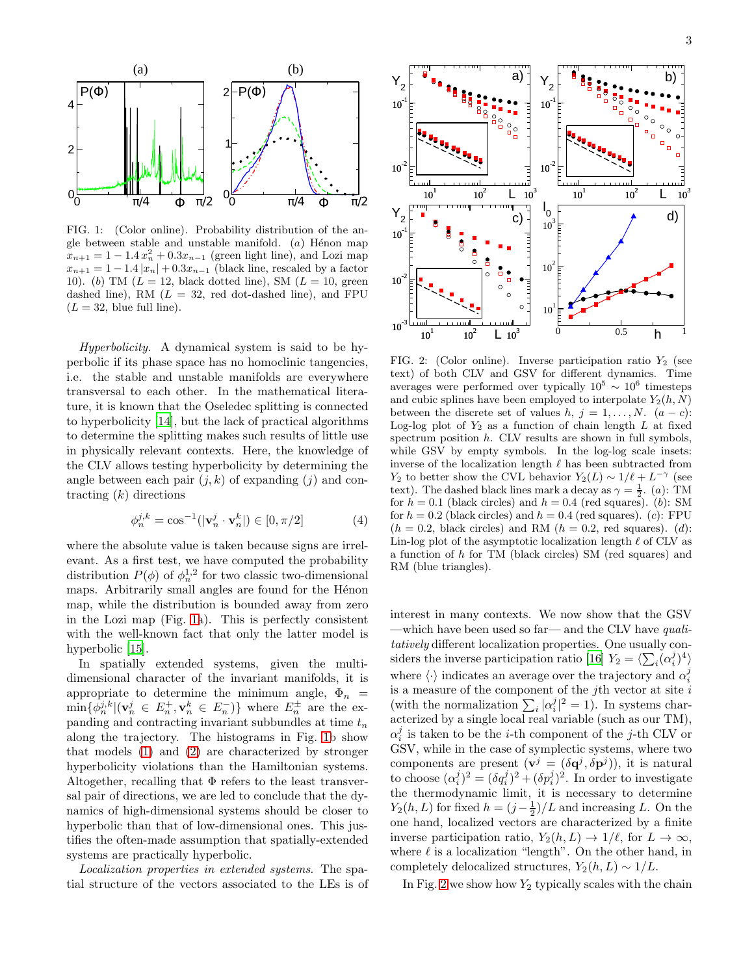

<span id="page-2-0"></span>FIG. 1: (Color online). Probability distribution of the angle between stable and unstable manifold.  $(a)$  Hénon map  $x_{n+1} = 1 - 1.4 x_n^2 + 0.3x_{n-1}$  (green light line), and Lozi map  $x_{n+1} = 1 - 1.4 |x_n| + 0.3x_{n-1}$  (black line, rescaled by a factor 10). (b) TM ( $L = 12$ , black dotted line), SM ( $L = 10$ , green dashed line), RM  $(L = 32, \text{ red dot-dashed line})$ , and FPU  $(L = 32,$  blue full line).

Hyperbolicity. A dynamical system is said to be hyperbolic if its phase space has no homoclinic tangencies, i.e. the stable and unstable manifolds are everywhere transversal to each other. In the mathematical literature, it is known that the Oseledec splitting is connected to hyperbolicity [\[14](#page-3-13)], but the lack of practical algorithms to determine the splitting makes such results of little use in physically relevant contexts. Here, the knowledge of the CLV allows testing hyperbolicity by determining the angle between each pair  $(j, k)$  of expanding  $(j)$  and contracting  $(k)$  directions

$$
\phi_n^{j,k} = \cos^{-1}(|\mathbf{v}_n^j \cdot \mathbf{v}_n^k|) \in [0, \pi/2]
$$
 (4)

where the absolute value is taken because signs are irrelevant. As a first test, we have computed the probability distribution  $P(\phi)$  of  $\phi_n^{1,2}$  for two classic two-dimensional maps. Arbitrarily small angles are found for the Hénon map, while the distribution is bounded away from zero in the Lozi map (Fig. [1a](#page-2-0)). This is perfectly consistent with the well-known fact that only the latter model is hyperbolic [\[15\]](#page-3-14).

In spatially extended systems, given the multidimensional character of the invariant manifolds, it is appropriate to determine the minimum angle,  $\Phi_n$  =  $\min\{\phi_n^{j,k}|(\mathbf{v}_n^j \in E_n^+, \mathbf{v}_n^k \in E_n^-)\}\$  where  $E_n^{\pm}$  are the expanding and contracting invariant subbundles at time  $t_n$ along the trajectory. The histograms in Fig. [1b](#page-2-0) show that models [\(1\)](#page-1-1) and [\(2\)](#page-1-0) are characterized by stronger hyperbolicity violations than the Hamiltonian systems. Altogether, recalling that  $\Phi$  refers to the least transversal pair of directions, we are led to conclude that the dynamics of high-dimensional systems should be closer to hyperbolic than that of low-dimensional ones. This justifies the often-made assumption that spatially-extended systems are practically hyperbolic.

Localization properties in extended systems. The spatial structure of the vectors associated to the LEs is of



<span id="page-2-1"></span>FIG. 2: (Color online). Inverse participation ratio  $Y_2$  (see text) of both CLV and GSV for different dynamics. Time averages were performed over typically  $10^5 \sim 10^6$  timesteps and cubic splines have been employed to interpolate  $Y_2(h, N)$ between the discrete set of values  $h, j = 1, \ldots, N$ .  $(a - c)$ : Log-log plot of  $Y_2$  as a function of chain length  $L$  at fixed spectrum position  $h$ . CLV results are shown in full symbols, while GSV by empty symbols. In the log-log scale insets: inverse of the localization length  $\ell$  has been subtracted from  $Y_2$  to better show the CVL behavior  $Y_2(L) \sim 1/\ell + L^{-\gamma}$  (see text). The dashed black lines mark a decay as  $\gamma = \frac{1}{2}$ . (*a*): TM for  $h = 0.1$  (black circles) and  $h = 0.4$  (red squares). (b): SM for  $h = 0.2$  (black circles) and  $h = 0.4$  (red squares). (c): FPU  $(h = 0.2, \text{ black circles})$  and RM  $(h = 0.2, \text{ red squares})$ . (d): Lin-log plot of the asymptotic localization length  $\ell$  of CLV as a function of h for TM (black circles) SM (red squares) and RM (blue triangles).

interest in many contexts. We now show that the GSV —which have been used so far— and the CLV have qualitatively different localization properties. One usually con-siders the inverse participation ratio [\[16\]](#page-3-15)  $Y_2 = \langle \sum_i (\alpha_i^j)^4 \rangle$ where  $\langle \cdot \rangle$  indicates an average over the trajectory and  $\alpha_i^j$ is a measure of the component of the  $j$ th vector at site  $i$ (with the normalization  $\sum_i |\alpha_i^j|^2 = 1$ ). In systems characterized by a single local real variable (such as our TM),  $\alpha_i^j$  is taken to be the *i*-th component of the *j*-th CLV or GSV, while in the case of symplectic systems, where two components are present  $(\mathbf{v}^j = (\delta \mathbf{q}^j, \delta \mathbf{p}^j))$ , it is natural to choose  $(\alpha_i^j)^2 = (\delta q_i^j)^2 + (\delta p_i^j)^2$ . In order to investigate the thermodynamic limit, it is necessary to determine  $Y_2(h, L)$  for fixed  $h = (j - \frac{1}{2})/L$  and increasing L. On the one hand, localized vectors are characterized by a finite inverse participation ratio,  $Y_2(h, L) \rightarrow 1/\ell$ , for  $L \rightarrow \infty$ , where  $\ell$  is a localization "length". On the other hand, in completely delocalized structures,  $Y_2(h, L) \sim 1/L$ .

In Fig. [2](#page-2-1) we show how  $Y_2$  typically scales with the chain